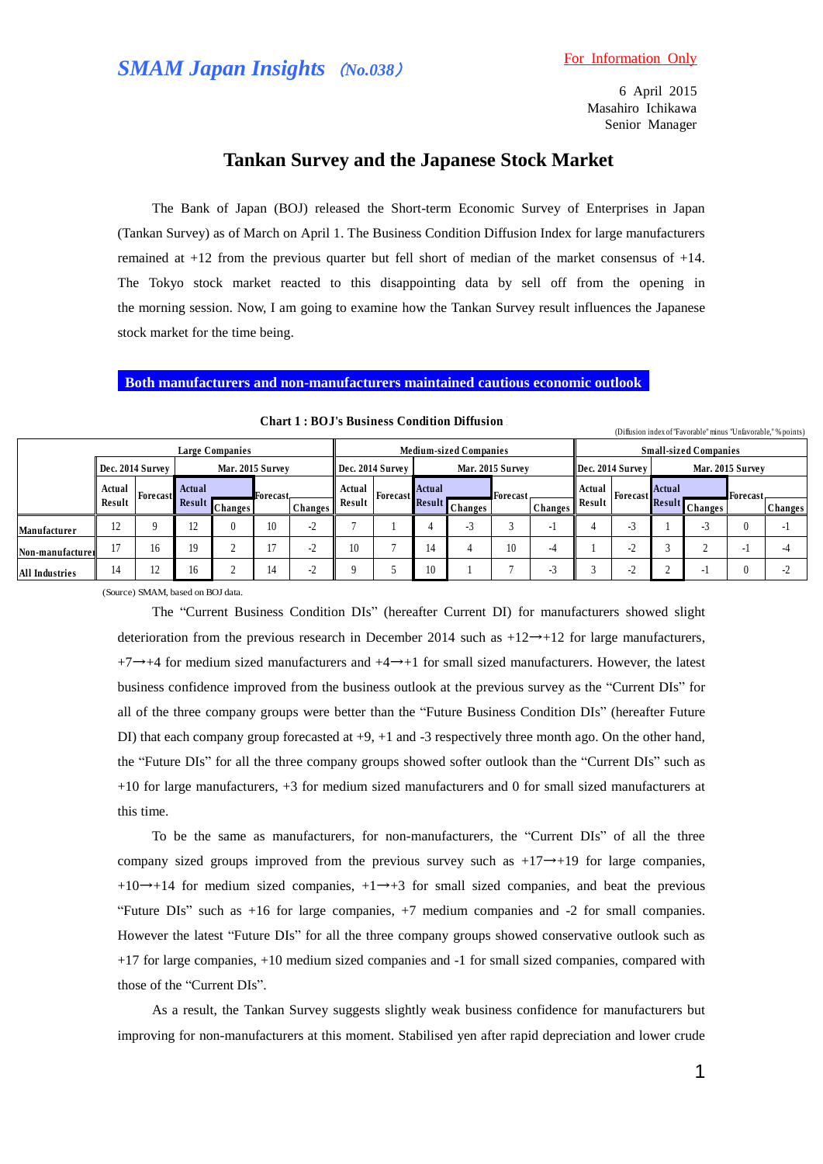6 April 2015 Masahiro Ichikawa Senior Manager

# **Tankan Survey and the Japanese Stock Market**

The Bank of Japan (BOJ) released the Short-term Economic Survey of Enterprises in Japan (Tankan Survey) as of March on April 1. The Business Condition Diffusion Index for large manufacturers remained at +12 from the previous quarter but fell short of median of the market consensus of +14. The Tokyo stock market reacted to this disappointing data by sell off from the opening in the morning session. Now, I am going to examine how the Tankan Survey result influences the Japanese stock market for the time being.

### **Both manufacturers and non-manufacturers maintained cautious economic outlook**

|                  |                 |                  |                  |                 |    | <b>Chart 1: BOJ's Business Condition Diffusion</b> |                  |                               |                  |                |                 |         |        |                              |                  | (Diffusion index of "Favorable" minus "Unfavorable," % points) |                 |                |  |
|------------------|-----------------|------------------|------------------|-----------------|----|----------------------------------------------------|------------------|-------------------------------|------------------|----------------|-----------------|---------|--------|------------------------------|------------------|----------------------------------------------------------------|-----------------|----------------|--|
|                  | Large Companies |                  |                  |                 |    |                                                    |                  | <b>Medium-sized Companies</b> |                  |                |                 |         |        | <b>Small-sized Companies</b> |                  |                                                                |                 |                |  |
|                  |                 | Dec. 2014 Survey | Mar. 2015 Survey |                 |    |                                                    | Dec. 2014 Survey |                               | Mar. 2015 Survey |                |                 |         |        | Dec. 2014 Survey             | Mar. 2015 Survey |                                                                |                 |                |  |
|                  | Actual          | Forecast         | Actual<br>Result | <b>Forecast</b> |    |                                                    | Actual           | <b>Forecast</b>               | <b>Actual</b>    |                | <b>Forecast</b> |         | Actual | Forecast                     | <b>Actual</b>    |                                                                | <b>Forecast</b> |                |  |
|                  | Result          |                  |                  | <b>Changes</b>  |    | Changes                                            | Result           |                               | <b>Result</b>    | <b>Changes</b> |                 | Changes | Result |                              |                  | Result Changes                                                 |                 | <b>Changes</b> |  |
| Manufacturer     | 12              | Q                | 12               | 0               | 10 | $-2$                                               |                  |                               |                  | - 1            |                 | ÷.      |        | $\sim$<br>- 3                |                  | - 1                                                            |                 |                |  |
| Non-manufacturer | 17              | 16               | 19               |                 |    | $-2$                                               | 10               |                               | 14               |                | 10              | -4      |        | $\sim$<br>-2                 |                  |                                                                |                 |                |  |
| All Industries   | 14              | 12               | 16               |                 | 14 | $-2$                                               | a                |                               | 10               |                |                 | - 1     |        | $\sim$<br>$-2$               |                  |                                                                |                 |                |  |

(Source) SMAM, based on BOJ data.

The "Current Business Condition DIs" (hereafter Current DI) for manufacturers showed slight deterioration from the previous research in December 2014 such as  $+12 \rightarrow +12$  for large manufacturers, +7→+4 for medium sized manufacturers and +4→+1 for small sized manufacturers. However, the latest business confidence improved from the business outlook at the previous survey as the "Current DIs" for all of the three company groups were better than the "Future Business Condition DIs" (hereafter Future DI) that each company group forecasted at  $+9$ ,  $+1$  and  $-3$  respectively three month ago. On the other hand, the "Future DIs" for all the three company groups showed softer outlook than the "Current DIs" such as +10 for large manufacturers, +3 for medium sized manufacturers and 0 for small sized manufacturers at this time.

To be the same as manufacturers, for non-manufacturers, the "Current DIs" of all the three company sized groups improved from the previous survey such as  $+17 \rightarrow +19$  for large companies.  $+10\rightarrow+14$  for medium sized companies,  $+1\rightarrow+3$  for small sized companies, and beat the previous "Future DIs" such as +16 for large companies, +7 medium companies and -2 for small companies. However the latest "Future DIs" for all the three company groups showed conservative outlook such as +17 for large companies, +10 medium sized companies and -1 for small sized companies, compared with those of the "Current DIs".

As a result, the Tankan Survey suggests slightly weak business confidence for manufacturers but improving for non-manufacturers at this moment. Stabilised yen after rapid depreciation and lower crude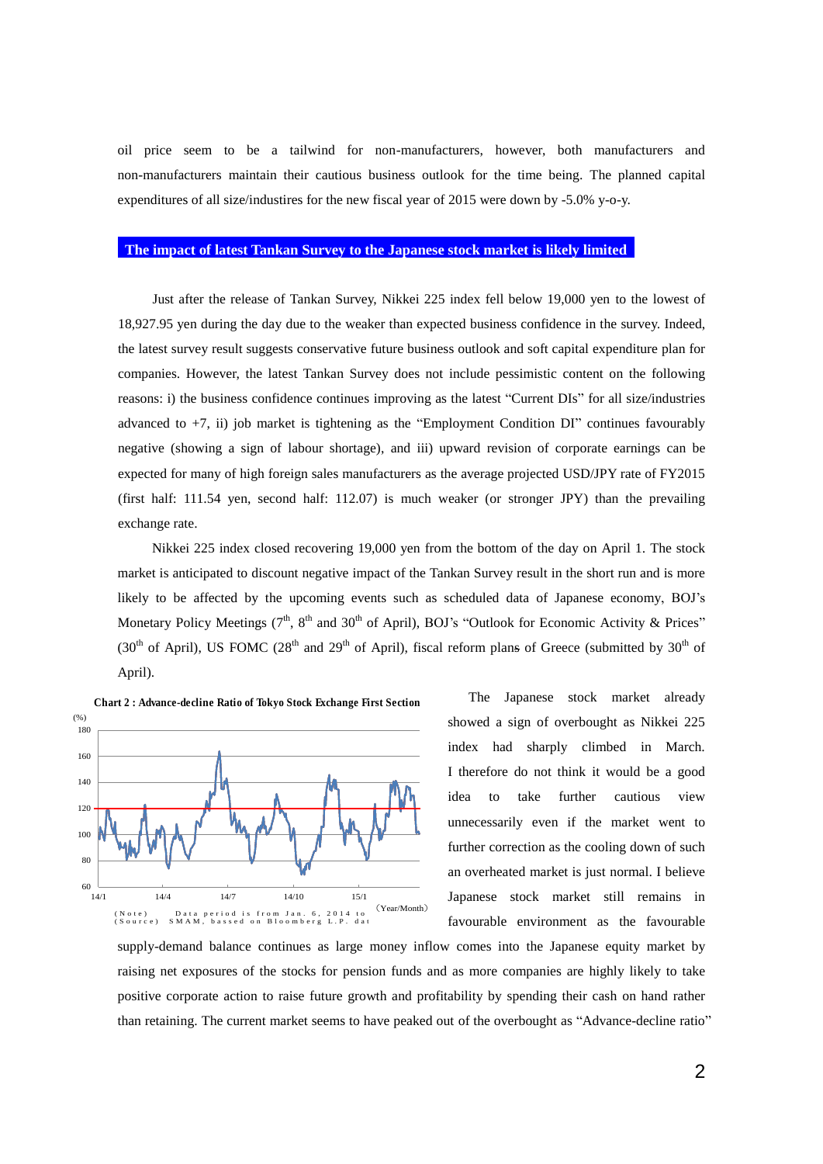oil price seem to be a tailwind for non-manufacturers, however, both manufacturers and non-manufacturers maintain their cautious business outlook for the time being. The planned capital expenditures of all size/industires for the new fiscal year of 2015 were down by -5.0% y-o-y.

## **The impact of latest Tankan Survey to the Japanese stock market is likely limited**

Just after the release of Tankan Survey, Nikkei 225 index fell below 19,000 yen to the lowest of 18,927.95 yen during the day due to the weaker than expected business confidence in the survey. Indeed, the latest survey result suggests conservative future business outlook and soft capital expenditure plan for companies. However, the latest Tankan Survey does not include pessimistic content on the following reasons: i) the business confidence continues improving as the latest "Current DIs" for all size/industries advanced to  $+7$ , ii) job market is tightening as the "Employment Condition DI" continues favourably negative (showing a sign of labour shortage), and iii) upward revision of corporate earnings can be expected for many of high foreign sales manufacturers as the average projected USD/JPY rate of FY2015 (first half: 111.54 yen, second half: 112.07) is much weaker (or stronger JPY) than the prevailing exchange rate.

Nikkei 225 index closed recovering 19,000 yen from the bottom of the day on April 1. The stock market is anticipated to discount negative impact of the Tankan Survey result in the short run and is more likely to be affected by the upcoming events such as scheduled data of Japanese economy, BOJ's Monetary Policy Meetings ( $7<sup>th</sup>$ ,  $8<sup>th</sup>$  and  $30<sup>th</sup>$  of April), BOJ's "Outlook for Economic Activity & Prices" (30<sup>th</sup> of April), US FOMC (28<sup>th</sup> and 29<sup>th</sup> of April), fiscal reform plans of Greece (submitted by 30<sup>th</sup> of April).



The Japanese stock market already showed a sign of overbought as Nikkei 225 index had sharply climbed in March. I therefore do not think it would be a good idea to take further cautious view unnecessarily even if the market went to further correction as the cooling down of such an overheated market is just normal. I believe Japanese stock market still remains in favourable environment as the favourable

supply-demand balance continues as large money inflow comes into the Japanese equity market by raising net exposures of the stocks for pension funds and as more companies are highly likely to take positive corporate action to raise future growth and profitability by spending their cash on hand rather than retaining. The current market seems to have peaked out of the overbought as "Advance-decline ratio"